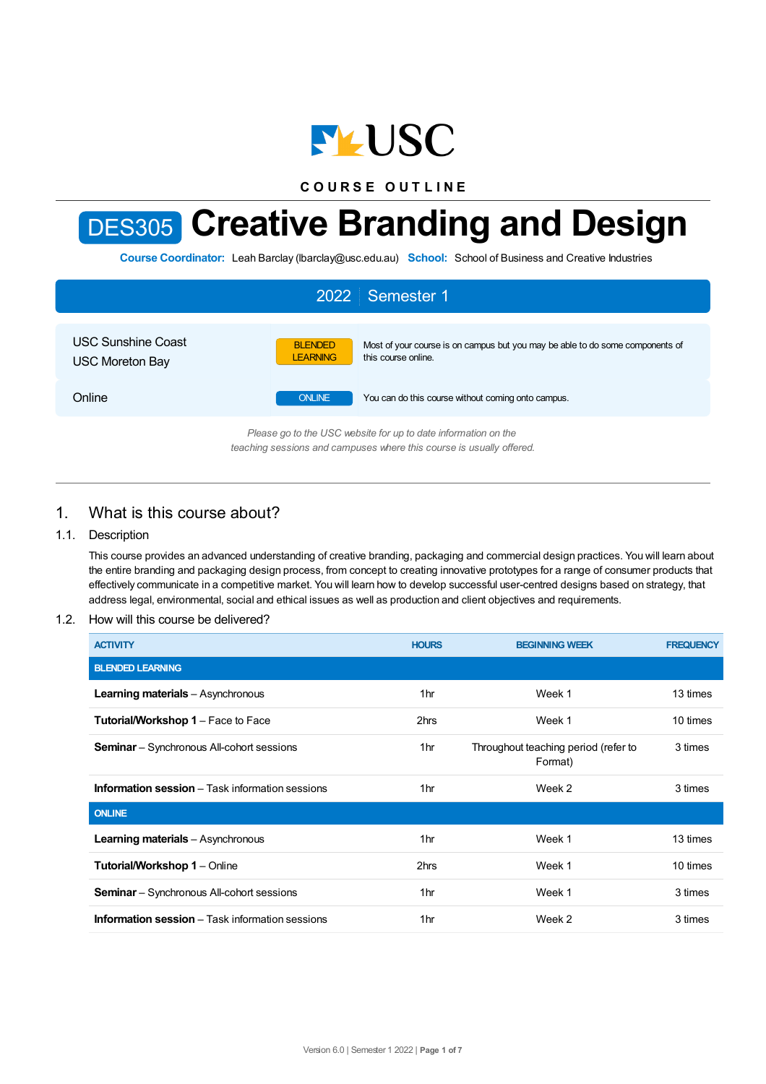

**C O U R S E O U T L I N E**

# DES305 **Creative Branding and Design**

**Course Coordinator:** Leah Barclay (lbarclay@usc.edu.au) **School:** School of Business and Creative Industries

| 2022 Semester 1                                                 |                                   |                                                                                                      |  |  |  |
|-----------------------------------------------------------------|-----------------------------------|------------------------------------------------------------------------------------------------------|--|--|--|
| <b>USC Sunshine Coast</b><br><b>USC Moreton Bay</b>             | <b>BLENDED</b><br><b>LEARNING</b> | Most of your course is on campus but you may be able to do some components of<br>this course online. |  |  |  |
| Online                                                          | <b>ONLINE</b>                     | You can do this course without coming onto campus.                                                   |  |  |  |
| Plassa an to the LISC vehsite for un to date information on the |                                   |                                                                                                      |  |  |  |

*Please go to the USC website for up to date information on the teaching sessions and campuses where this course is usually offered.*

# 1. What is this course about?

## 1.1. Description

This course provides an advanced understanding of creative branding, packaging and commercial design practices. You will learn about the entire branding and packaging design process, from concept to creating innovative prototypes for a range of consumer products that effectively communicate in a competitive market. You will learn how to develop successful user-centred designs based on strategy, that address legal, environmental, social and ethical issues as well as production and client objectives and requirements.

#### 1.2. How will this course be delivered?

| <b>ACTIVITY</b>                                          | <b>HOURS</b>    | <b>BEGINNING WEEK</b>                           | <b>FREQUENCY</b> |
|----------------------------------------------------------|-----------------|-------------------------------------------------|------------------|
| <b>BLENDED LEARNING</b>                                  |                 |                                                 |                  |
| <b>Learning materials</b> - Asynchronous                 | 1hr             | Week 1                                          | 13 times         |
| <b>Tutorial/Workshop 1 – Face to Face</b>                | 2hrs            | Week 1                                          | 10 times         |
| <b>Seminar</b> – Synchronous All-cohort sessions         | 1 <sub>hr</sub> | Throughout teaching period (refer to<br>Format) | 3 times          |
| <b>Information session</b> $-$ Task information sessions | 1hr             | Week 2                                          | 3 times          |
| <b>ONLINE</b>                                            |                 |                                                 |                  |
| <b>Learning materials</b> - Asynchronous                 | 1 <sub>hr</sub> | Week 1                                          | 13 times         |
| <b>Tutorial/Workshop 1 - Online</b>                      | 2hrs            | Week 1                                          | 10 times         |
| <b>Seminar</b> – Synchronous All-cohort sessions         | 1 <sub>hr</sub> | Week 1                                          | 3 times          |
| <b>Information session</b> – Task information sessions   | 1 <sub>hr</sub> | Week 2                                          | 3 times          |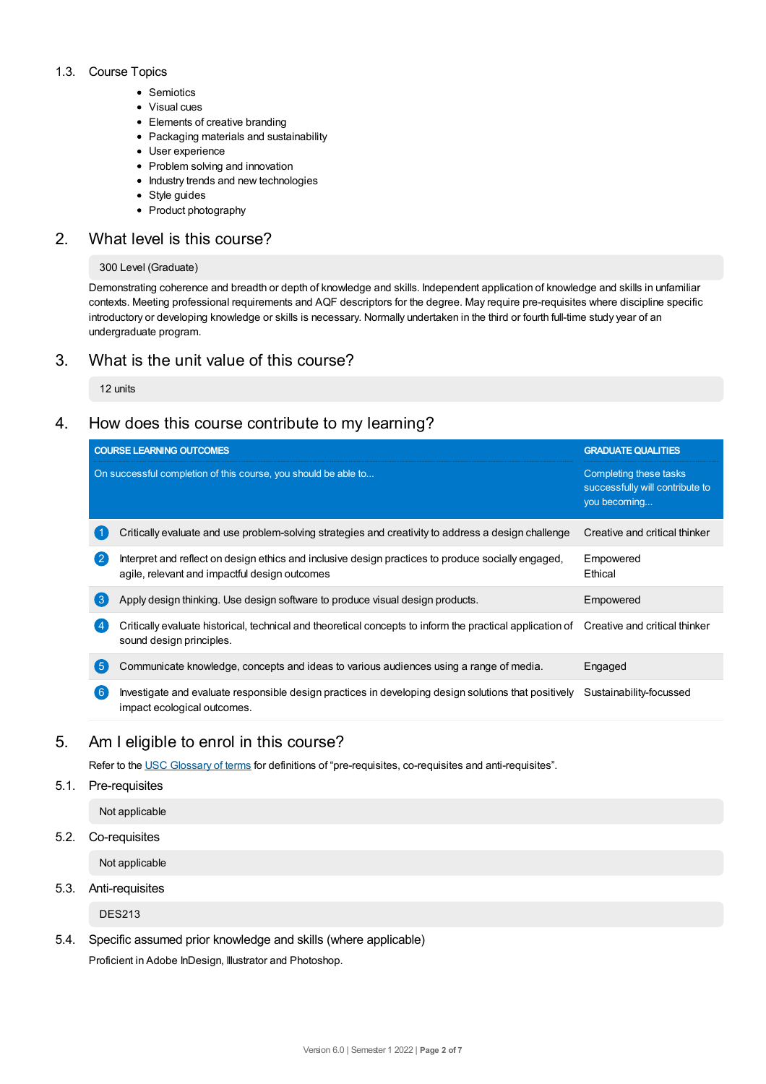#### 1.3. Course Topics

- Semiotics
- Visual cues
- Elements of creative branding
- Packaging materials and sustainability
- User experience
- Problem solving and innovation
- Industry trends and new technologies
- Style guides
- Product photography

# 2. What level is this course?

#### 300 Level (Graduate)

Demonstrating coherence and breadth or depth of knowledge and skills. Independent application of knowledge and skills in unfamiliar contexts. Meeting professional requirements and AQF descriptors for the degree. May require pre-requisites where discipline specific introductory or developing knowledge or skills is necessary. Normally undertaken in the third or fourth full-time study year of an undergraduate program.

# 3. What is the unit value of this course?

12 units

# 4. How does this course contribute to my learning?

|              | <b>COURSE LEARNING OUTCOMES</b>                                                                                                                                     | <b>GRADUATE QUALITIES</b>                                                 |
|--------------|---------------------------------------------------------------------------------------------------------------------------------------------------------------------|---------------------------------------------------------------------------|
|              | On successful completion of this course, you should be able to                                                                                                      | Completing these tasks<br>successfully will contribute to<br>you becoming |
|              | Critically evaluate and use problem-solving strategies and creativity to address a design challenge                                                                 | Creative and critical thinker                                             |
| $\mathbf{2}$ | Interpret and reflect on design ethics and inclusive design practices to produce socially engaged,<br>agile, relevant and impactful design outcomes                 | Empowered<br>Ethical                                                      |
| (ვ           | Apply design thinking. Use design software to produce visual design products.                                                                                       | Empowered                                                                 |
|              | Critically evaluate historical, technical and theoretical concepts to inform the practical application of Creative and critical thinker<br>sound design principles. |                                                                           |
| 5            | Communicate knowledge, concepts and ideas to various audiences using a range of media.                                                                              | Engaged                                                                   |
| 6            | Investigate and evaluate responsible design practices in developing design solutions that positively<br>impact ecological outcomes.                                 | Sustainability-focussed                                                   |

# 5. Am Ieligible to enrol in this course?

Refer to the USC [Glossary](https://www.usc.edu.au/about/policies-and-procedures/glossary-of-terms-for-policy-and-procedures) of terms for definitions of "pre-requisites, co-requisites and anti-requisites".

#### 5.1. Pre-requisites

Not applicable

5.2. Co-requisites

Not applicable

5.3. Anti-requisites

DES213

5.4. Specific assumed prior knowledge and skills (where applicable)

Proficient in Adobe InDesign, Illustrator and Photoshop.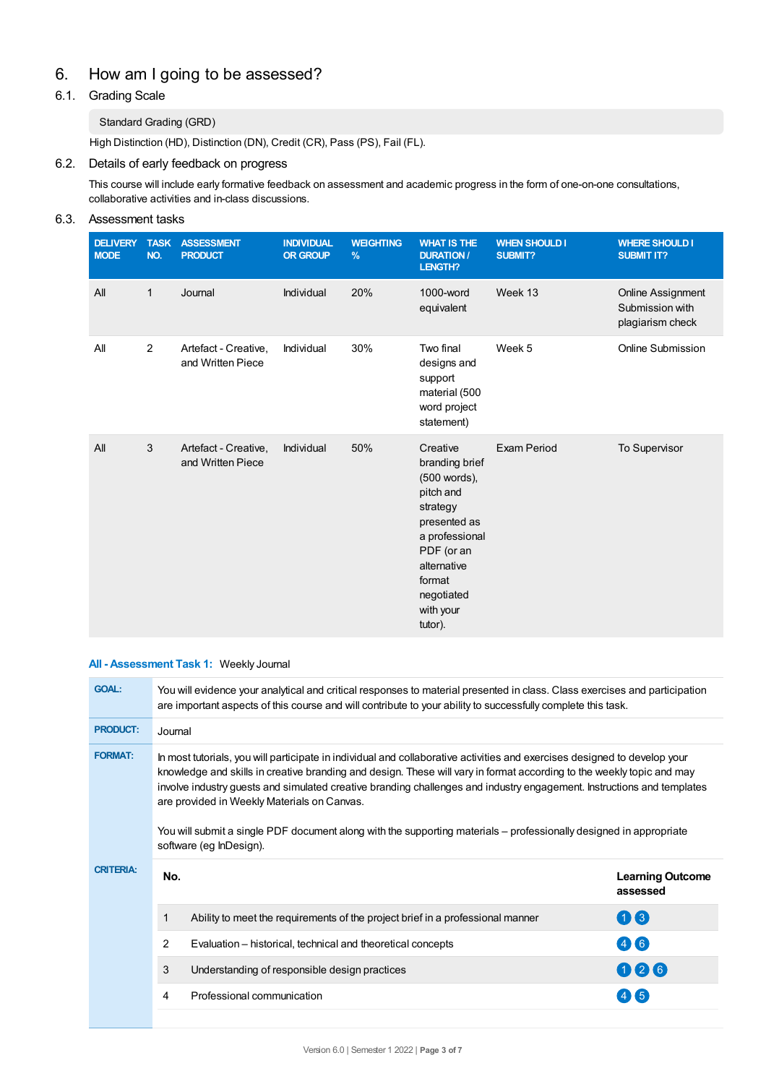# 6. How am Igoing to be assessed?

# 6.1. Grading Scale

## Standard Grading (GRD)

High Distinction (HD), Distinction (DN), Credit (CR), Pass (PS), Fail (FL).

## 6.2. Details of early feedback on progress

This course will include early formative feedback on assessment and academic progress in the form of one-on-one consultations, collaborative activities and in-class discussions.

# 6.3. Assessment tasks

| <b>DELIVERY</b><br><b>MODE</b> | <b>TASK</b><br>NO. | <b>ASSESSMENT</b><br><b>PRODUCT</b>       | <b>INDIVIDUAL</b><br><b>OR GROUP</b> | <b>WEIGHTING</b><br>% | <b>WHAT IS THE</b><br><b>DURATION /</b><br><b>LENGTH?</b>                                                                                                                          | <b>WHEN SHOULD I</b><br><b>SUBMIT?</b> | <b>WHERE SHOULD I</b><br><b>SUBMIT IT?</b>                      |
|--------------------------------|--------------------|-------------------------------------------|--------------------------------------|-----------------------|------------------------------------------------------------------------------------------------------------------------------------------------------------------------------------|----------------------------------------|-----------------------------------------------------------------|
| All                            | 1                  | Journal                                   | Individual                           | 20%                   | 1000-word<br>equivalent                                                                                                                                                            | Week 13                                | <b>Online Assignment</b><br>Submission with<br>plagiarism check |
| All                            | 2                  | Artefact - Creative,<br>and Written Piece | Individual                           | 30%                   | Two final<br>designs and<br>support<br>material (500<br>word project<br>statement)                                                                                                 | Week 5                                 | Online Submission                                               |
| All                            | 3                  | Artefact - Creative,<br>and Written Piece | Individual                           | 50%                   | Creative<br>branding brief<br>(500 words),<br>pitch and<br>strategy<br>presented as<br>a professional<br>PDF (or an<br>alternative<br>format<br>negotiated<br>with your<br>tutor). | <b>Exam Period</b>                     | To Supervisor                                                   |

#### **All - Assessment Task 1:** Weekly Journal

| <b>GOAL:</b>     | You will evidence your analytical and critical responses to material presented in class. Class exercises and participation<br>are important aspects of this course and will contribute to your ability to successfully complete this task.                                                                                                                                                                                                                                                                                                                                   |                                                                                |                                     |  |  |
|------------------|------------------------------------------------------------------------------------------------------------------------------------------------------------------------------------------------------------------------------------------------------------------------------------------------------------------------------------------------------------------------------------------------------------------------------------------------------------------------------------------------------------------------------------------------------------------------------|--------------------------------------------------------------------------------|-------------------------------------|--|--|
| <b>PRODUCT:</b>  | Journal                                                                                                                                                                                                                                                                                                                                                                                                                                                                                                                                                                      |                                                                                |                                     |  |  |
| <b>FORMAT:</b>   | In most tutorials, you will participate in individual and collaborative activities and exercises designed to develop your<br>knowledge and skills in creative branding and design. These will vary in format according to the weekly topic and may<br>involve industry guests and simulated creative branding challenges and industry engagement. Instructions and templates<br>are provided in Weekly Materials on Canvas.<br>You will submit a single PDF document along with the supporting materials – professionally designed in appropriate<br>software (eg InDesign). |                                                                                |                                     |  |  |
| <b>CRITERIA:</b> | No.                                                                                                                                                                                                                                                                                                                                                                                                                                                                                                                                                                          |                                                                                | <b>Learning Outcome</b><br>assessed |  |  |
|                  |                                                                                                                                                                                                                                                                                                                                                                                                                                                                                                                                                                              | Ability to meet the requirements of the project brief in a professional manner | 00                                  |  |  |
|                  | 2                                                                                                                                                                                                                                                                                                                                                                                                                                                                                                                                                                            | Evaluation - historical, technical and theoretical concepts                    | 46                                  |  |  |
|                  | 3                                                                                                                                                                                                                                                                                                                                                                                                                                                                                                                                                                            | Understanding of responsible design practices                                  | 026                                 |  |  |
|                  | 4                                                                                                                                                                                                                                                                                                                                                                                                                                                                                                                                                                            | Professional communication                                                     |                                     |  |  |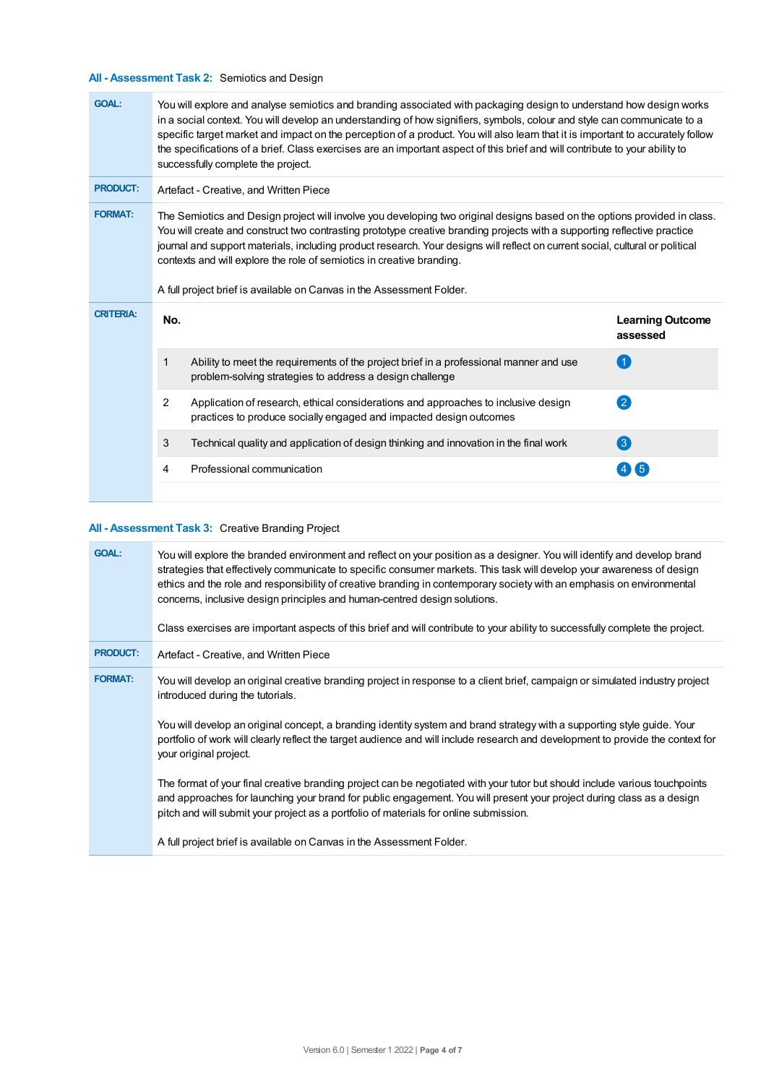# **All - Assessment Task 2:** Semiotics and Design

| <b>GOAL:</b>     | You will explore and analyse semiotics and branding associated with packaging design to understand how design works<br>in a social context. You will develop an understanding of how signifiers, symbols, colour and style can communicate to a<br>specific target market and impact on the perception of a product. You will also learn that it is important to accurately follow<br>the specifications of a brief. Class exercises are an important aspect of this brief and will contribute to your ability to<br>successfully complete the project. |                                                                                                                                                          |                                     |  |
|------------------|---------------------------------------------------------------------------------------------------------------------------------------------------------------------------------------------------------------------------------------------------------------------------------------------------------------------------------------------------------------------------------------------------------------------------------------------------------------------------------------------------------------------------------------------------------|----------------------------------------------------------------------------------------------------------------------------------------------------------|-------------------------------------|--|
| <b>PRODUCT:</b>  | Artefact - Creative, and Written Piece                                                                                                                                                                                                                                                                                                                                                                                                                                                                                                                  |                                                                                                                                                          |                                     |  |
| <b>FORMAT:</b>   | The Semiotics and Design project will involve you developing two original designs based on the options provided in class.<br>You will create and construct two contrasting prototype creative branding projects with a supporting reflective practice<br>journal and support materials, including product research. Your designs will reflect on current social, cultural or political<br>contexts and will explore the role of semiotics in creative branding.<br>A full project brief is available on Canvas in the Assessment Folder.                |                                                                                                                                                          |                                     |  |
| <b>CRITERIA:</b> | No.                                                                                                                                                                                                                                                                                                                                                                                                                                                                                                                                                     |                                                                                                                                                          | <b>Learning Outcome</b><br>assessed |  |
|                  | 1                                                                                                                                                                                                                                                                                                                                                                                                                                                                                                                                                       | Ability to meet the requirements of the project brief in a professional manner and use<br>problem-solving strategies to address a design challenge       | $\overline{1}$                      |  |
|                  | $\overline{2}$                                                                                                                                                                                                                                                                                                                                                                                                                                                                                                                                          | Application of research, ethical considerations and approaches to inclusive design<br>practices to produce socially engaged and impacted design outcomes | $\bullet$                           |  |
|                  | 3                                                                                                                                                                                                                                                                                                                                                                                                                                                                                                                                                       | Technical quality and application of design thinking and innovation in the final work                                                                    | $\left( 3\right)$                   |  |
|                  | 4                                                                                                                                                                                                                                                                                                                                                                                                                                                                                                                                                       | Professional communication                                                                                                                               | 4(5)                                |  |
|                  |                                                                                                                                                                                                                                                                                                                                                                                                                                                                                                                                                         |                                                                                                                                                          |                                     |  |

## **All - Assessment Task 3:** Creative Branding Project

| <b>GOAL:</b>    | You will explore the branded environment and reflect on your position as a designer. You will identify and develop brand<br>strategies that effectively communicate to specific consumer markets. This task will develop your awareness of design<br>ethics and the role and responsibility of creative branding in contemporary society with an emphasis on environmental<br>concerns, inclusive design principles and human-centred design solutions.<br>Class exercises are important aspects of this brief and will contribute to your ability to successfully complete the project. |
|-----------------|------------------------------------------------------------------------------------------------------------------------------------------------------------------------------------------------------------------------------------------------------------------------------------------------------------------------------------------------------------------------------------------------------------------------------------------------------------------------------------------------------------------------------------------------------------------------------------------|
| <b>PRODUCT:</b> | Artefact - Creative, and Written Piece                                                                                                                                                                                                                                                                                                                                                                                                                                                                                                                                                   |
| <b>FORMAT:</b>  | You will develop an original creative branding project in response to a client brief, campaign or simulated industry project<br>introduced during the tutorials.                                                                                                                                                                                                                                                                                                                                                                                                                         |
|                 | You will develop an original concept, a branding identity system and brand strategy with a supporting style guide. Your<br>portfolio of work will clearly reflect the target audience and will include research and development to provide the context for<br>your original project.                                                                                                                                                                                                                                                                                                     |
|                 | The format of your final creative branding project can be negotiated with your tutor but should include various touchpoints<br>and approaches for launching your brand for public engagement. You will present your project during class as a design<br>pitch and will submit your project as a portfolio of materials for online submission.                                                                                                                                                                                                                                            |
|                 | A full project brief is available on Canvas in the Assessment Folder.                                                                                                                                                                                                                                                                                                                                                                                                                                                                                                                    |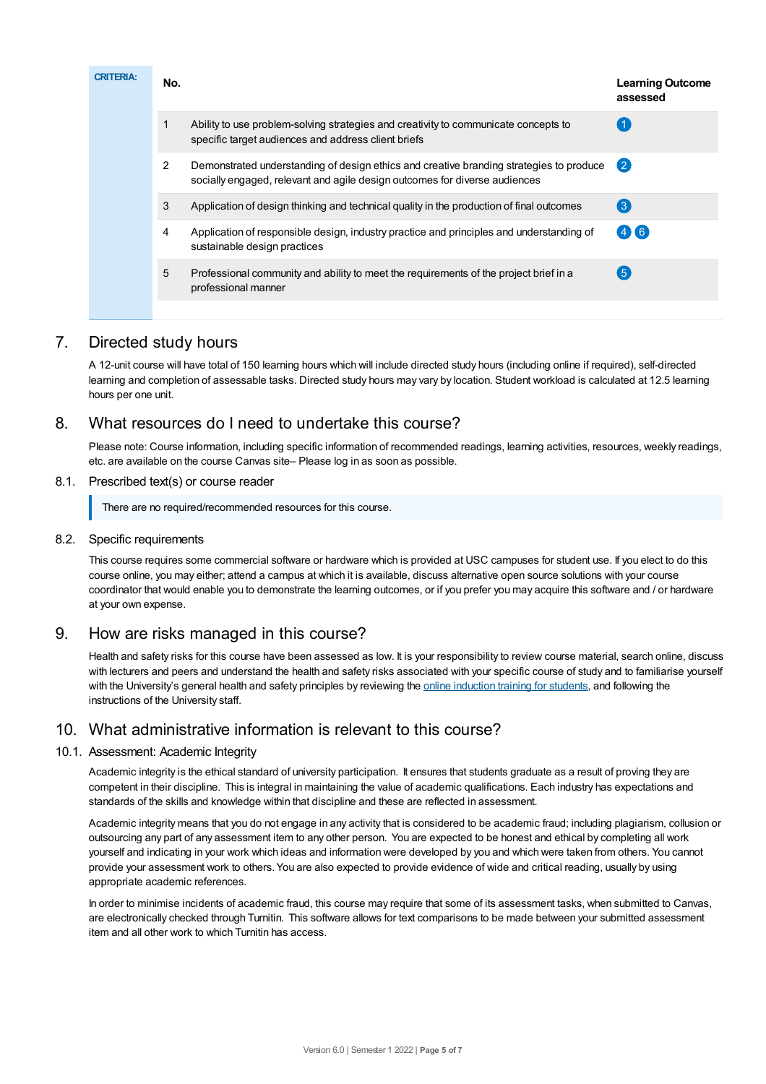| <b>CRITERIA:</b> | No.            |                                                                                                                                                                       | <b>Learning Outcome</b><br>assessed |
|------------------|----------------|-----------------------------------------------------------------------------------------------------------------------------------------------------------------------|-------------------------------------|
|                  | 1              | Ability to use problem-solving strategies and creativity to communicate concepts to<br>specific target audiences and address client briefs                            |                                     |
|                  | $\overline{2}$ | Demonstrated understanding of design ethics and creative branding strategies to produce<br>socially engaged, relevant and agile design outcomes for diverse audiences | $\mathbf{2}$                        |
|                  | 3              | Application of design thinking and technical quality in the production of final outcomes                                                                              | $\left( 3 \right)$                  |
|                  | 4              | Application of responsible design, industry practice and principles and understanding of<br>sustainable design practices                                              | (4)(6)                              |
|                  | 5              | Professional community and ability to meet the requirements of the project brief in a<br>professional manner                                                          | (5)                                 |
|                  |                |                                                                                                                                                                       |                                     |

# 7. Directed study hours

A 12-unit course will have total of 150 learning hours which will include directed study hours (including online if required), self-directed learning and completion of assessable tasks. Directed study hours may vary by location. Student workload is calculated at 12.5 learning hours per one unit.

# 8. What resources do I need to undertake this course?

Please note: Course information, including specific information of recommended readings, learning activities, resources, weekly readings, etc. are available on the course Canvas site– Please log in as soon as possible.

## 8.1. Prescribed text(s) or course reader

There are no required/recommended resources for this course.

## 8.2. Specific requirements

This course requires some commercial software or hardware which is provided at USC campuses for student use. If you elect to do this course online, you may either; attend a campus at which it is available, discuss alternative open source solutions with your course coordinator that would enable you to demonstrate the learning outcomes, or if you prefer you may acquire this software and / or hardware at your own expense.

# 9. How are risks managed in this course?

Health and safety risks for this course have been assessed as low. It is your responsibility to review course material, search online, discuss with lecturers and peers and understand the health and safety risks associated with your specific course of study and to familiarise yourself with the University's general health and safety principles by reviewing the online [induction](https://online.usc.edu.au/webapps/blackboard/content/listContentEditable.jsp?content_id=_632657_1&course_id=_14432_1) training for students, and following the instructions of the University staff.

# 10. What administrative information is relevant to this course?

## 10.1. Assessment: Academic Integrity

Academic integrity is the ethical standard of university participation. It ensures that students graduate as a result of proving they are competent in their discipline. This is integral in maintaining the value of academic qualifications. Each industry has expectations and standards of the skills and knowledge within that discipline and these are reflected in assessment.

Academic integrity means that you do not engage in any activity that is considered to be academic fraud; including plagiarism, collusion or outsourcing any part of any assessment item to any other person. You are expected to be honest and ethical by completing all work yourself and indicating in your work which ideas and information were developed by you and which were taken from others. You cannot provide your assessment work to others. You are also expected to provide evidence of wide and critical reading, usually by using appropriate academic references.

In order to minimise incidents of academic fraud, this course may require that some of its assessment tasks, when submitted to Canvas, are electronically checked through Turnitin. This software allows for text comparisons to be made between your submitted assessment item and all other work to which Turnitin has access.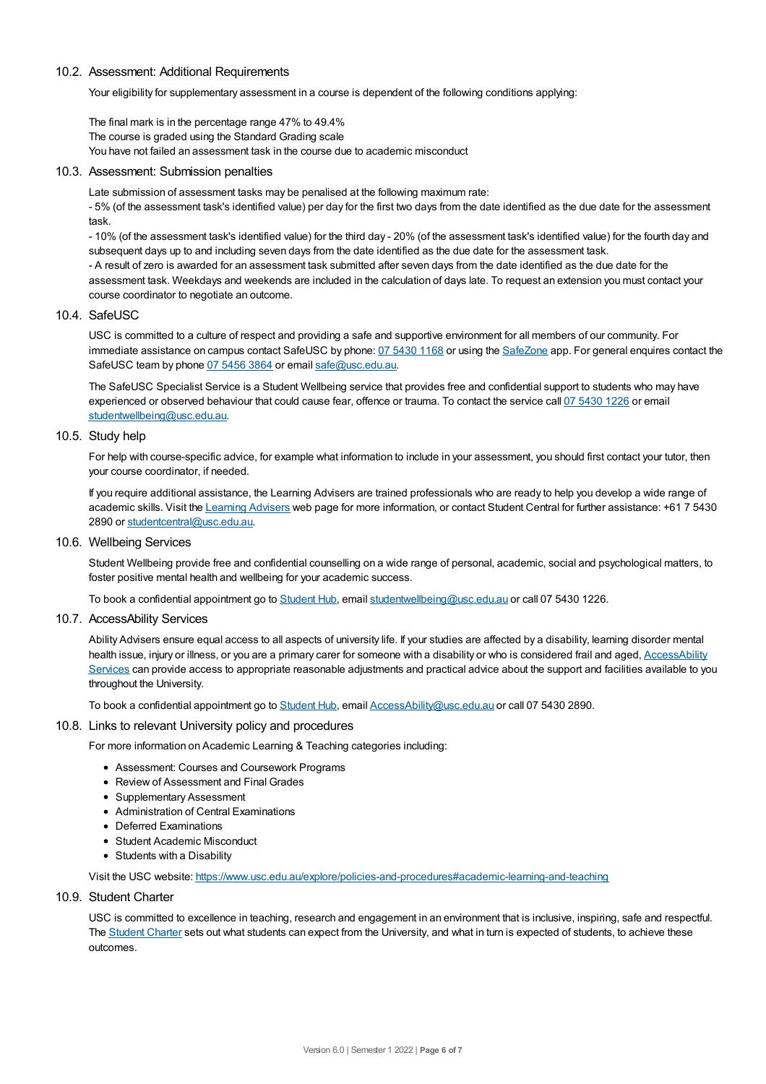#### 10.2. Assessment: Additional Requirements

Your eligibility for supplementary assessment in a course is dependent of the following conditions applying:

The final mark is in the percentage range 47% to 49.4% The course is graded using the Standard Grading scale You have not failed an assessment task in the course due to academic misconduct

#### 10.3. Assessment: Submission penalties

Late submission of assessment tasks may be penalised at the following maximum rate:

- 5% (of the assessment task's identified value) per day for the first two days from the date identified as the due date for the assessment task.

- 10% (of the assessment task's identified value) for the third day - 20% (of the assessment task's identified value) for the fourth day and subsequent days up to and including seven days from the date identified as the due date for the assessment task.

- A result of zero is awarded for an assessment task submitted after seven days from the date identified as the due date for the assessment task. Weekdays and weekends are included in the calculation of days late. To request an extension you must contact your course coordinator to negotiate an outcome.

#### 10.4. SafeUSC

USC is committed to a culture of respect and providing a safe and supportive environment for all members of our community. For immediate assistance on campus contact SafeUSC by phone: 07 [5430](tel:07%205430%201168) 1168 or using the [SafeZone](https://www.safezoneapp.com) app. For general enquires contact the SafeUSC team by phone 07 [5456](tel:07%205456%203864) 3864 or email [safe@usc.edu.au](mailto:safe@usc.edu.au).

The SafeUSC Specialist Service is a Student Wellbeing service that provides free and confidential support to students who may have experienced or observed behaviour that could cause fear, offence or trauma. To contact the service call 07 [5430](tel:07%205430%201226) 1226 or email [studentwellbeing@usc.edu.au](mailto:studentwellbeing@usc.edu.au).

#### 10.5. Study help

For help with course-specific advice, for example what information to include in your assessment, you should first contact your tutor, then your course coordinator, if needed.

If you require additional assistance, the Learning Advisers are trained professionals who are ready to help you develop a wide range of academic skills. Visit the Learning [Advisers](https://www.usc.edu.au/current-students/student-support/academic-and-study-support/learning-advisers) web page for more information, or contact Student Central for further assistance: +61 7 5430 2890 or [studentcentral@usc.edu.au](mailto:studentcentral@usc.edu.au).

10.6. Wellbeing Services

Student Wellbeing provide free and confidential counselling on a wide range of personal, academic, social and psychological matters, to foster positive mental health and wellbeing for your academic success.

To book a confidential appointment go to [Student](https://studenthub.usc.edu.au/) Hub, email [studentwellbeing@usc.edu.au](mailto:studentwellbeing@usc.edu.au) or call 07 5430 1226.

#### 10.7. AccessAbility Services

Ability Advisers ensure equal access to all aspects of university life. If your studies are affected by a disability, learning disorder mental health issue, injury or illness, or you are a primary carer for someone with a disability or who is considered frail and aged, [AccessAbility](https://www.usc.edu.au/learn/student-support/accessability-services/documentation-requirements) Services can provide access to appropriate reasonable adjustments and practical advice about the support and facilities available to you throughout the University.

To book a confidential appointment go to [Student](https://studenthub.usc.edu.au/) Hub, email [AccessAbility@usc.edu.au](mailto:AccessAbility@usc.edu.au) or call 07 5430 2890.

#### 10.8. Links to relevant University policy and procedures

For more information on Academic Learning & Teaching categories including:

- Assessment: Courses and Coursework Programs
- Review of Assessment and Final Grades
- Supplementary Assessment
- Administration of Central Examinations
- Deferred Examinations
- Student Academic Misconduct
- Students with a Disability

Visit the USC website: <https://www.usc.edu.au/explore/policies-and-procedures#academic-learning-and-teaching>

#### 10.9. Student Charter

USC is committed to excellence in teaching, research and engagement in an environment that is inclusive, inspiring, safe and respectful. The [Student](https://www.usc.edu.au/current-students/student-charter) Charter sets out what students can expect from the University, and what in turn is expected of students, to achieve these outcomes.